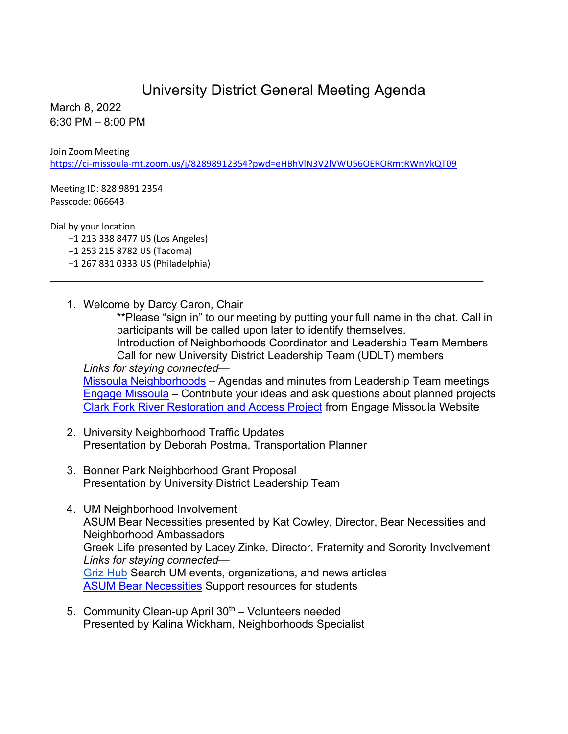## University District General Meeting Agenda

March 8, 2022 6:30 PM – 8:00 PM

Join Zoom Meeting

<https://ci-missoula-mt.zoom.us/j/82898912354?pwd=eHBhVlN3V2lVWU56OERORmtRWnVkQT09>

\_\_\_\_\_\_\_\_\_\_\_\_\_\_\_\_\_\_\_\_\_\_\_\_\_\_\_\_\_\_\_\_\_\_\_\_\_\_\_\_\_\_\_\_\_\_\_\_\_\_\_\_\_\_\_\_\_\_\_\_\_\_\_\_\_\_\_\_\_\_

Meeting ID: 828 9891 2354 Passcode: 066643

Dial by your location

 +1 213 338 8477 US (Los Angeles) +1 253 215 8782 US (Tacoma) +1 267 831 0333 US (Philadelphia)

1. Welcome by Darcy Caron, Chair

\*\*Please "sign in" to our meeting by putting your full name in the chat. Call in participants will be called upon later to identify themselves. Introduction of Neighborhoods Coordinator and Leadership Team Members Call for new University District Leadership Team (UDLT) members *Links for staying connected—* [Missoula Neighborhoods](https://www.ci.missoula.mt.us/298/Neighborhoods) – Agendas and minutes from Leadership Team meetings [Engage Missoula](https://www.engagemissoula.com/) – Contribute your ideas and ask questions about planned projects [Clark Fork River Restoration and Access Project](https://www.engagemissoula.com/clark-fork-river-restoration-access-project) from Engage Missoula Website

- 2. University Neighborhood Traffic Updates Presentation by Deborah Postma, Transportation Planner
- 3. Bonner Park Neighborhood Grant Proposal Presentation by University District Leadership Team
- 4. UM Neighborhood Involvement ASUM Bear Necessities presented by Kat Cowley, Director, Bear Necessities and Neighborhood Ambassadors Greek Life presented by Lacey Zinke, Director, Fraternity and Sorority Involvement *Links for staying connected—* [Griz Hub](https://grizhub.umt.edu/) Search UM events, organizations, and news articles **[ASUM Bear Necessities](https://www.umt.edu/asum/agencies/bear-necessities/default.php) Support resources for students**
- 5. Community Clean-up April  $30<sup>th</sup>$  Volunteers needed Presented by Kalina Wickham, Neighborhoods Specialist